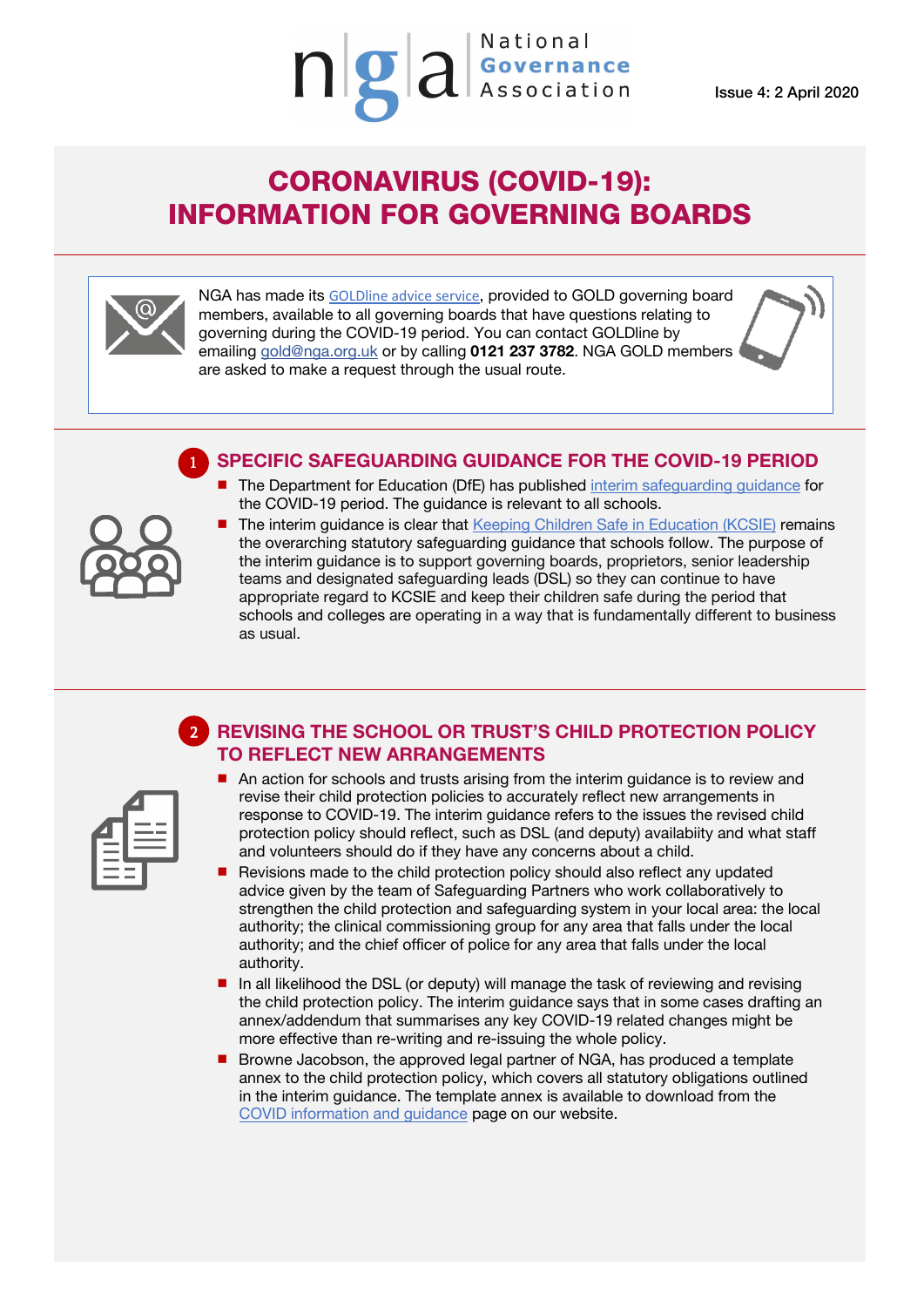Issue 4: 2 April 2020

## CORONAVIRUS (COVID-19): INFORMATION FOR GOVERNING BOARDS

 $\mathbf{q}$   $\mathbf{q}$   $\mathbf{q}$  sovernance



NGA has made its [GOLDline advice service](http://www.nga.org.uk/Membership/GOLDline-The-NGA-Advice-service.aspx), provided to GOLD governing board members, available to all governing boards that have questions relating to governing during the COVID-19 period. You can contact GOLDline by emailing [gold@nga.org.uk](mailto:gold@nga.org.uk) or by calling **0121 237 3782**. NGA GOLD members are asked to make a request through the usual route.

## **SPECIFIC SAFEGUARDING GUIDANCE FOR THE COVID-19 PERIOD**



1

 The Department for Education (DfE) has published [interim safeguarding guidance](https://www.gov.uk/government/publications/covid-19-safeguarding-in-schools-colleges-and-other-providers/coronavirus-covid-19-safeguarding-in-schools-colleges-and-other-providers) for the COVID-19 period. The guidance is relevant to all schools. The interim guidance is clear that [Keeping Children Safe in Education \(KCSIE\)](https://www.gov.uk/government/publications/keeping-children-safe-in-education--2) remains

National

the overarching statutory safeguarding guidance that schools follow. The purpose of the interim guidance is to support governing boards, proprietors, senior leadership teams and designated safeguarding leads (DSL) so they can continue to have appropriate regard to KCSIE and keep their children safe during the period that schools and colleges are operating in a way that is fundamentally different to business as usual.

## **REVISING THE SCHOOL OR TRUST'S CHILD PROTECTION POLICY TO REFLECT NEW ARRANGEMENTS**   $\overline{\phantom{a}}$ 2

- $\blacksquare$  An action for schools and trusts arising from the interim guidance is to review and revise their child protection policies to accurately reflect new arrangements in response to COVID-19. The interim guidance refers to the issues the revised child protection policy should reflect, such as DSL (and deputy) availabiity and what staff and volunteers should do if they have any concerns about a child.
- Revisions made to the child protection policy should also reflect any updated advice given by the team of Safeguarding Partners who work collaboratively to strengthen the child protection and safeguarding system in your local area: the local authority; the clinical commissioning group for any area that falls under the local authority; and the chief officer of police for any area that falls under the local authority.
- In all likelihood the DSL (or deputy) will manage the task of reviewing and revising the child protection policy. The interim guidance says that in some cases drafting an annex/addendum that summarises any key COVID-19 related changes might be more effective than re-writing and re-issuing the whole policy.
- Browne Jacobson, the approved legal partner of NGA, has produced a template annex to the child protection policy, which covers all statutory obligations outlined in the interim guidance. The template annex is available to download from the [COVID information and guidance](https://www.nga.org.uk/Knowledge-Centre/Executive-leaders-and-the-governing-boards/The-Coronavirus-Information-for-governing-boards-M.aspx) page on our website.